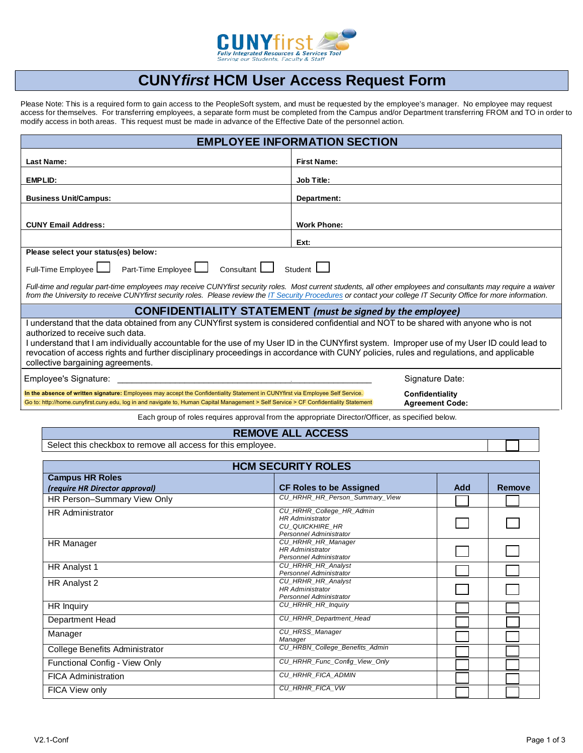

## **CUNY***first* **HCM User Access Request Form**

Please Note: This is a required form to gain access to the PeopleSoft system, and must be requested by the employee's manager. No employee may request access for themselves. For transferring employees, a separate form must be completed from the Campus and/or Department transferring FROM and TO in order to modify access in both areas. This request must be made in advance of the Effective Date of the personnel action.

| <b>EMPLOYEE INFORMATION SECTION</b>                                                                                                                                                                                                                                                                                                                                                                                                                                                                      |                                                                                                |  |
|----------------------------------------------------------------------------------------------------------------------------------------------------------------------------------------------------------------------------------------------------------------------------------------------------------------------------------------------------------------------------------------------------------------------------------------------------------------------------------------------------------|------------------------------------------------------------------------------------------------|--|
| Last Name:                                                                                                                                                                                                                                                                                                                                                                                                                                                                                               | <b>First Name:</b>                                                                             |  |
| EMPLID:                                                                                                                                                                                                                                                                                                                                                                                                                                                                                                  | Job Title:                                                                                     |  |
| <b>Business Unit/Campus:</b>                                                                                                                                                                                                                                                                                                                                                                                                                                                                             | Department:                                                                                    |  |
| <b>CUNY Email Address:</b>                                                                                                                                                                                                                                                                                                                                                                                                                                                                               | <b>Work Phone:</b>                                                                             |  |
|                                                                                                                                                                                                                                                                                                                                                                                                                                                                                                          | Ext:                                                                                           |  |
| Please select your status(es) below:                                                                                                                                                                                                                                                                                                                                                                                                                                                                     |                                                                                                |  |
| Full-Time Employee<br>Part-Time Employee<br>Consultant  <br>Student <b>L</b>                                                                                                                                                                                                                                                                                                                                                                                                                             |                                                                                                |  |
| Full-time and regular part-time employees may receive CUNYfirst security roles. Most current students, all other employees and consultants may require a waiver<br>from the University to receive CUNYfirst security roles. Please review the IT Security Procedures or contact your college IT Security Office for more information.                                                                                                                                                                    |                                                                                                |  |
| <b>CONFIDENTIALITY STATEMENT</b> (must be signed by the employee)                                                                                                                                                                                                                                                                                                                                                                                                                                        |                                                                                                |  |
| I understand that the data obtained from any CUNYfirst system is considered confidential and NOT to be shared with anyone who is not<br>authorized to receive such data.<br>I understand that I am individually accountable for the use of my User ID in the CUNYfirst system. Improper use of my User ID could lead to<br>revocation of access rights and further disciplinary proceedings in accordance with CUNY policies, rules and regulations, and applicable<br>collective bargaining agreements. |                                                                                                |  |
| Employee's Signature:                                                                                                                                                                                                                                                                                                                                                                                                                                                                                    | Signature Date:                                                                                |  |
| In the absence of written signature: Employees may accept the Confidentiality Statement in CUNYfirst via Employee Self Service.<br>Go to: http://home.cunyfirst.cuny.edu, log in and navigate to, Human Capital Management > Self Service > CF Confidentiality Statement                                                                                                                                                                                                                                 | Confidentiality<br><b>Agreement Code:</b>                                                      |  |
|                                                                                                                                                                                                                                                                                                                                                                                                                                                                                                          | Each group of roles requires approval from the appropriate Director/Officer as specified below |  |

Each group of roles requires approval from the appropriate Director/Officer, as specified below.

## **REMOVE ALL ACCESS**

Select this checkbox to remove all access for this employee.

| <b>HCM SECURITY ROLES</b>      |                                                                                                          |     |               |
|--------------------------------|----------------------------------------------------------------------------------------------------------|-----|---------------|
| <b>Campus HR Roles</b>         |                                                                                                          |     |               |
| (require HR Director approval) | <b>CF Roles to be Assigned</b>                                                                           | Add | <b>Remove</b> |
| HR Person-Summary View Only    | CU_HRHR_HR_Person_Summary_View                                                                           |     |               |
| <b>HR Administrator</b>        | CU_HRHR_College_HR_Admin<br><b>HR Administrator</b><br>CU QUICKHIRE HR<br><b>Personnel Administrator</b> |     |               |
| HR Manager                     | CU_HRHR_HR_Manager<br><b>HR</b> Administrator<br>Personnel Administrator                                 |     |               |
| HR Analyst 1                   | <b>CU HRHR HR Analyst</b><br><b>Personnel Administrator</b>                                              |     |               |
| HR Analyst 2                   | <b>CU HRHR HR Analyst</b><br><b>HR Administrator</b><br><b>Personnel Administrator</b>                   |     |               |
| HR Inquiry                     | <b>CU HRHR HR Inquiry</b>                                                                                |     |               |
| Department Head                | <b>CU HRHR Department Head</b>                                                                           |     |               |
| Manager                        | CU_HRSS_Manager<br>Manager                                                                               |     |               |
| College Benefits Administrator | CU_HRBN_College_Benefits_Admin                                                                           |     |               |
| Functional Config - View Only  | CU_HRHR_Func_Config_View_Only                                                                            |     |               |
| <b>FICA Administration</b>     | CU_HRHR_FICA_ADMIN                                                                                       |     |               |
| FICA View only                 | CU_HRHR_FICA_VW                                                                                          |     |               |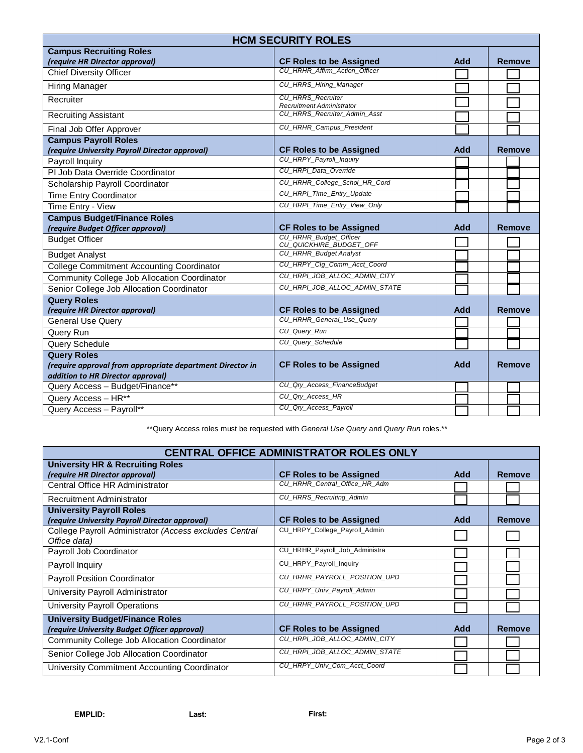| <b>HCM SECURITY ROLES</b>                                 |                                                              |     |               |
|-----------------------------------------------------------|--------------------------------------------------------------|-----|---------------|
| <b>Campus Recruiting Roles</b>                            |                                                              |     |               |
| (require HR Director approval)                            | <b>CF Roles to be Assigned</b>                               | Add | <b>Remove</b> |
| <b>Chief Diversity Officer</b>                            | CU HRHR Affirm Action Officer                                |     |               |
| Hiring Manager                                            | CU_HRRS_Hiring_Manager                                       |     |               |
| Recruiter                                                 | <b>CU HRRS Recruiter</b><br><b>Recruitment Administrator</b> |     |               |
| <b>Recruiting Assistant</b>                               | CU_HRRS_Recruiter_Admin_Asst                                 |     |               |
| Final Job Offer Approver                                  | <b>CU HRHR Campus President</b>                              |     |               |
| <b>Campus Payroll Roles</b>                               |                                                              |     |               |
| (require University Payroll Director approval)            | <b>CF Roles to be Assigned</b>                               | Add | <b>Remove</b> |
| Payroll Inquiry                                           | CU_HRPY_Payroll_Inquiry                                      |     |               |
| PI Job Data Override Coordinator                          | CU_HRPI_Data_Override                                        |     |               |
| Scholarship Payroll Coordinator                           | CU_HRHR_College_Schol_HR_Cord                                |     |               |
| <b>Time Entry Coordinator</b>                             | CU_HRPI_Time_Entry_Update                                    |     |               |
| Time Entry - View                                         | CU_HRPI_Time_Entry_View_Only                                 |     |               |
| <b>Campus Budget/Finance Roles</b>                        |                                                              |     |               |
| (require Budget Officer approval)                         | <b>CF Roles to be Assigned</b>                               | Add | Remove        |
| <b>Budget Officer</b>                                     | CU_HRHR_Budget_Officer<br>CU_QUICKHIRE_BUDGET_OFF            |     |               |
| <b>Budget Analyst</b>                                     | <b>CU_HRHR_Budget Analyst</b>                                |     |               |
| <b>College Commitment Accounting Coordinator</b>          | CU_HRPY_Clg_Comm_Acct_Coord                                  |     |               |
| Community College Job Allocation Coordinator              | CU HRPI JOB ALLOC ADMIN CITY                                 |     |               |
| Senior College Job Allocation Coordinator                 | CU_HRPI_JOB_ALLOC_ADMIN_STATE                                |     |               |
| <b>Query Roles</b>                                        |                                                              |     |               |
| (require HR Director approval)                            | <b>CF Roles to be Assigned</b>                               | Add | Remove        |
| <b>General Use Query</b>                                  | CU HRHR General Use Query                                    |     |               |
| Query Run                                                 | CU_Query_Run                                                 |     |               |
| Query Schedule                                            | <b>CU Query Schedule</b>                                     |     |               |
| <b>Query Roles</b>                                        |                                                              |     |               |
| (require approval from appropriate department Director in | <b>CF Roles to be Assigned</b>                               | Add | Remove        |
| addition to HR Director approval)                         |                                                              |     |               |
| Query Access - Budget/Finance**                           | CU_Qry_Access_FinanceBudget                                  |     |               |
| Query Access - HR**                                       | CU_Qry_Access_HR                                             |     |               |
| Query Access - Payroll**                                  | CU Qry Access Payroll                                        |     |               |

\*\*Query Access roles must be requested with *General Use Query* and *Query Run* roles.\*\*

| <b>CENTRAL OFFICE ADMINISTRATOR ROLES ONLY</b>                         |                                |     |        |
|------------------------------------------------------------------------|--------------------------------|-----|--------|
| <b>University HR &amp; Recruiting Roles</b>                            |                                |     |        |
| (require HR Director approval)                                         | <b>CF Roles to be Assigned</b> | Add | Remove |
| Central Office HR Administrator                                        | CU_HRHR_Central_Office_HR_Adm  |     |        |
| Recruitment Administrator                                              | CU_HRRS_Recruiting_Admin       |     |        |
| <b>University Payroll Roles</b>                                        |                                |     |        |
| (require University Payroll Director approval)                         | <b>CF Roles to be Assigned</b> | Add | Remove |
| College Payroll Administrator (Access excludes Central<br>Office data) | CU_HRPY_College_Payroll_Admin  |     |        |
| Payroll Job Coordinator                                                | CU_HRHR_Payroll_Job_Administra |     |        |
| Payroll Inquiry                                                        | CU_HRPY_Payroll_Inquiry        |     |        |
| <b>Payroll Position Coordinator</b>                                    | CU_HRHR_PAYROLL_POSITION_UPD   |     |        |
| University Payroll Administrator                                       | CU_HRPY_Univ_Payroll_Admin     |     |        |
| University Payroll Operations                                          | CU HRHR PAYROLL POSITION UPD   |     |        |
| <b>University Budget/Finance Roles</b>                                 |                                |     |        |
| (require University Budget Officer approval)                           | <b>CF Roles to be Assigned</b> | Add | Remove |
| <b>Community College Job Allocation Coordinator</b>                    | CU_HRPI_JOB_ALLOC_ADMIN_CITY   |     |        |
| Senior College Job Allocation Coordinator                              | CU_HRPI_JOB_ALLOC_ADMIN_STATE  |     |        |
| University Commitment Accounting Coordinator                           | CU_HRPY_Univ_Com_Acct_Coord    |     |        |